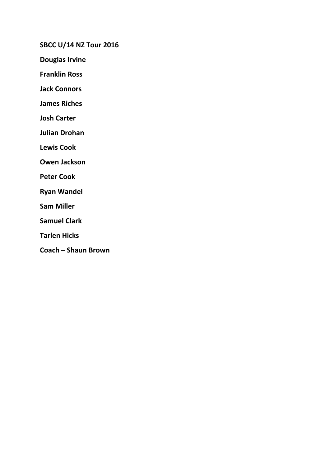SBCC U/14 NZ Tour 2016

Douglas Irvine

Franklin Ross

Jack Connors

James Riches

Josh Carter

Julian Drohan

Lewis Cook

Owen Jackson

Peter Cook

Ryan Wandel

Sam Miller

Samuel Clark

Tarlen Hicks

Coach – Shaun Brown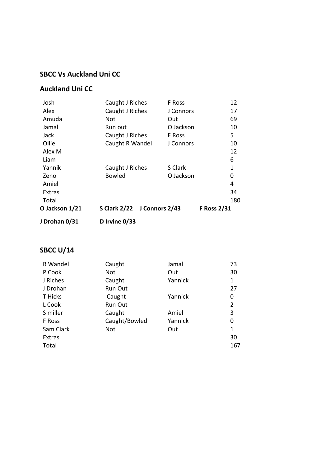## SBCC Vs Auckland Uni CC

#### Auckland Uni CC

| J Drohan 0/31  | D Irvine 0/33               |           |                    |
|----------------|-----------------------------|-----------|--------------------|
| O Jackson 1/21 | S Clark 2/22 J Connors 2/43 |           | <b>F Ross 2/31</b> |
| Total          |                             |           | 180                |
| Extras         |                             |           | 34                 |
| Amiel          |                             |           | 4                  |
| Zeno           | <b>Bowled</b>               | O Jackson | 0                  |
| Yannik         | Caught J Riches             | S Clark   | 1                  |
| Liam           |                             |           | 6                  |
| Alex M         |                             |           | 12                 |
| Ollie          | Caught R Wandel             | J Connors | 10                 |
| Jack           | Caught J Riches             | F Ross    | 5                  |
| Jamal          | Run out                     | O Jackson | 10                 |
| Amuda          | Not                         | Out       | 69                 |
| Alex           | Caught J Riches             | J Connors | 17                 |
| Josh           | Caught J Riches             | F Ross    | 12                 |

# **SBCC U/14**

| Caught        | Jamal   | 73  |
|---------------|---------|-----|
| <b>Not</b>    | Out     | 30  |
| Caught        | Yannick | 1   |
| Run Out       |         | 27  |
| Caught        | Yannick | 0   |
| Run Out       |         | 2   |
| Caught        | Amiel   | 3   |
| Caught/Bowled | Yannick | 0   |
| Not           | Out     | 1   |
|               |         | 30  |
|               |         | 167 |
|               |         |     |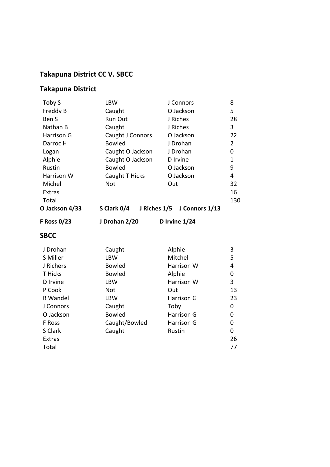# Takapuna District CC V. SBCC

# Takapuna District

| Toby S             | <b>LBW</b>                  | J Connors         | 8              |
|--------------------|-----------------------------|-------------------|----------------|
| Freddy B           | Caught                      | O Jackson         | 5              |
| Ben S              | Run Out                     | J Riches          | 28             |
| Nathan B           | Caught                      | J Riches          | 3              |
| Harrison G         | Caught J Connors            | O Jackson         | 22             |
| Darroc H           | <b>Bowled</b>               | J Drohan          | $\overline{2}$ |
| Logan              | Caught O Jackson            | J Drohan          | 0              |
| Alphie             | Caught O Jackson            | D Irvine          | 1              |
| Rustin             | <b>Bowled</b>               | O Jackson         | 9              |
| Harrison W         | Caught T Hicks              | O Jackson         | $\overline{4}$ |
| Michel             | <b>Not</b>                  | Out               | 32             |
| <b>Extras</b>      |                             |                   | 16             |
| Total              |                             |                   | 130            |
| O Jackson 4/33     | S Clark 0/4<br>J Riches 1/5 | J Connors 1/13    |                |
| <b>F Ross 0/23</b> | J Drohan 2/20               | D Irvine 1/24     |                |
| <b>SBCC</b>        |                             |                   |                |
| J Drohan           | Caught                      | Alphie            | 3              |
| S Miller           | <b>LBW</b>                  | Mitchel           | 5              |
| J Richers          | <b>Bowled</b>               | Harrison W        | 4              |
| <b>T</b> Hicks     | <b>Bowled</b>               | Alphie            | 0              |
|                    |                             |                   |                |
| D Irvine           | <b>LBW</b>                  | Harrison W        | 3              |
| P Cook             | <b>Not</b>                  | Out               | 13             |
| R Wandel           | <b>LBW</b>                  | <b>Harrison G</b> | 23             |
| J Connors          | Caught                      | Toby              | 0              |
| O Jackson          | <b>Bowled</b>               | Harrison G        | 0              |
| F Ross             | Caught/Bowled               | Harrison G        | 0              |
| S Clark            | Caught                      | Rustin            | $\mathbf 0$    |
| <b>Extras</b>      |                             |                   | 26             |
| Total              |                             |                   | 77             |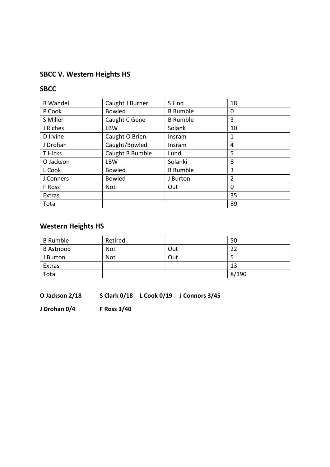# SBCC V. Western Heights HS

#### **SBCC**

| R Wandel      | Caught J Burner | S Lind          | 18             |
|---------------|-----------------|-----------------|----------------|
| P Cook        | <b>Bowled</b>   | <b>B</b> Rumble | 0              |
| S Miller      | Caught C Gene   | <b>B</b> Rumble | 3              |
| J Riches      | <b>LBW</b>      | Solank          | 10             |
| D Irvine      | Caught O Brien  | Insram          | 1              |
| J Drohan      | Caught/Bowled   | Insram          | 4              |
| T Hicks       | Caught B Rumble | Lund            | 5              |
| O Jackson     | <b>LBW</b>      | Solanki         | 8              |
| L Cook        | <b>Bowled</b>   | <b>B</b> Rumble | 3              |
| J Conners     | <b>Bowled</b>   | J Burton        | $\overline{2}$ |
| F Ross        | Not             | Out             | 0              |
| <b>Extras</b> |                 |                 | 35             |
| Total         |                 |                 | 89             |

# Western Heights HS

| <b>B</b> Rumble  | Retired    |     | 50    |
|------------------|------------|-----|-------|
| <b>B</b> Astnood | Not        | Out | 22    |
| J Burton         | <b>Not</b> | Out |       |
| Extras           |            |     | 13    |
| Total            |            |     | 8/190 |

O Jackson 2/18 S Clark 0/18 L Cook 0/19 J Connors 3/45

J Drohan 0/4 F Ross 3/40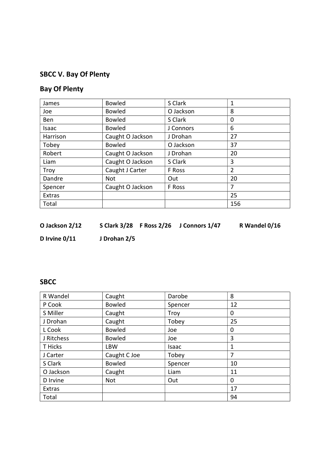# SBCC V. Bay Of Plenty

## Bay Of Plenty

| James         | <b>Bowled</b>    | S Clark   | 1              |
|---------------|------------------|-----------|----------------|
| Joe           | <b>Bowled</b>    | O Jackson | 8              |
| <b>Ben</b>    | <b>Bowled</b>    | S Clark   | 0              |
| Isaac         | <b>Bowled</b>    | J Connors | 6              |
| Harrison      | Caught O Jackson | J Drohan  | 27             |
| Tobey         | <b>Bowled</b>    | O Jackson | 37             |
| Robert        | Caught O Jackson | J Drohan  | 20             |
| Liam          | Caught O Jackson | S Clark   | 3              |
| Troy          | Caught J Carter  | F Ross    | $\overline{2}$ |
| Dandre        | <b>Not</b>       | Out       | 20             |
| Spencer       | Caught O Jackson | F Ross    | 7              |
| <b>Extras</b> |                  |           | 25             |
| Total         |                  |           | 156            |

| S Clark 3/28 F Ross 2/26<br>O Jackson 2/12 |  | J Connors 1/47 |
|--------------------------------------------|--|----------------|
|--------------------------------------------|--|----------------|

R Wandel 0/16

D Irvine 0/11 J Drohan 2/5

#### **SBCC**

| R Wandel   | Caught        | Darobe  | 8  |
|------------|---------------|---------|----|
| P Cook     | <b>Bowled</b> | Spencer | 12 |
| S Miller   | Caught        | Troy    | 0  |
| J Drohan   | Caught        | Tobey   | 25 |
| L Cook     | <b>Bowled</b> | Joe     | 0  |
| J Ritchess | <b>Bowled</b> | Joe     | 3  |
| T Hicks    | <b>LBW</b>    | Isaac   | 1  |
| J Carter   | Caught C Joe  | Tobey   | 7  |
| S Clark    | <b>Bowled</b> | Spencer | 10 |
| O Jackson  | Caught        | Liam    | 11 |
| D Irvine   | Not           | Out     | 0  |
| Extras     |               |         | 17 |
| Total      |               |         | 94 |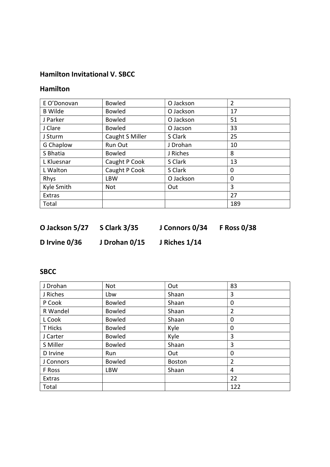#### Hamilton Invitational V. SBCC

#### Hamilton

| E O'Donovan    | <b>Bowled</b>   | O Jackson | $\overline{2}$ |
|----------------|-----------------|-----------|----------------|
| <b>B</b> Wilde | <b>Bowled</b>   | O Jackson | 17             |
| J Parker       | <b>Bowled</b>   | O Jackson | 51             |
| J Clare        | <b>Bowled</b>   | O Jacson  | 33             |
| J Sturm        | Caught S Miller | S Clark   | 25             |
| G Chaplow      | Run Out         | J Drohan  | 10             |
| S Bhatia       | <b>Bowled</b>   | J Riches  | 8              |
| L Kluesnar     | Caught P Cook   | S Clark   | 13             |
| L Walton       | Caught P Cook   | S Clark   | 0              |
| Rhys           | <b>LBW</b>      | O Jackson | $\Omega$       |
| Kyle Smith     | Not             | Out       | 3              |
| Extras         |                 |           | 27             |
| Total          |                 |           | 189            |

| O Jackson 5/27  | <b>S Clark 3/35</b> | J Connors 0/34 | <b>F Ross 0/38</b> |
|-----------------|---------------------|----------------|--------------------|
| D Irvine $0/36$ | J Drohan 0/15       | J Riches 1/14  |                    |

# SBCC

| J Drohan  | <b>Not</b>    | Out           | 83             |
|-----------|---------------|---------------|----------------|
| J Riches  | Lbw           | Shaan         | 3              |
| P Cook    | <b>Bowled</b> | Shaan         | 0              |
| R Wandel  | <b>Bowled</b> | Shaan         | 2              |
| L Cook    | <b>Bowled</b> | Shaan         | 0              |
| T Hicks   | <b>Bowled</b> | Kyle          | 0              |
| J Carter  | <b>Bowled</b> | Kyle          | 3              |
| S Miller  | <b>Bowled</b> | Shaan         | 3              |
| D Irvine  | Run           | Out           | 0              |
| J Connors | <b>Bowled</b> | <b>Boston</b> | $\overline{2}$ |
| F Ross    | <b>LBW</b>    | Shaan         | 4              |
| Extras    |               |               | 22             |
| Total     |               |               | 122            |